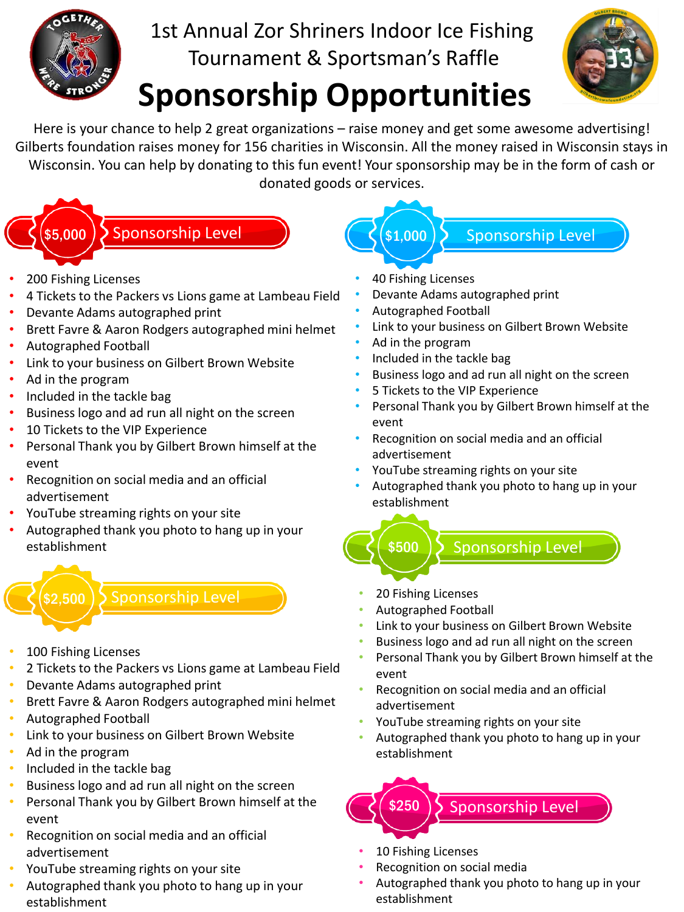

## 1st Annual Zor Shriners Indoor Ice Fishing Tournament & Sportsman's Raffle

# **Sponsorship Opportunities**



Here is your chance to help 2 great organizations – raise money and get some awesome advertising! Gilberts foundation raises money for 156 charities in Wisconsin. All the money raised in Wisconsin stays in Wisconsin. You can help by donating to this fun event! Your sponsorship may be in the form of cash or donated goods or services.

## \$5,000 > Sponsorship Level

- 200 Fishing Licenses
- 4 Tickets to the Packers vs Lions game at Lambeau Field
- Devante Adams autographed print
- Brett Favre & Aaron Rodgers autographed mini helmet
- Autographed Football
- Link to your business on Gilbert Brown Website
- Ad in the program
- Included in the tackle bag
- Business logo and ad run all night on the screen
- 10 Tickets to the VIP Experience
- Personal Thank you by Gilbert Brown himself at the event
- Recognition on social media and an official advertisement
- YouTube streaming rights on your site
- Autographed thank you photo to hang up in your establishment



- 100 Fishing Licenses
- 2 Tickets to the Packers vs Lions game at Lambeau Field
- Devante Adams autographed print
- Brett Favre & Aaron Rodgers autographed mini helmet
- Autographed Football
- Link to your business on Gilbert Brown Website
- Ad in the program
- Included in the tackle bag
- Business logo and ad run all night on the screen
- Personal Thank you by Gilbert Brown himself at the event
- Recognition on social media and an official advertisement
- YouTube streaming rights on your site
- Autographed thank you photo to hang up in your establishment

• 40 Fishing Licenses

\$1,000

- Devante Adams autographed print
- Autographed Football
- Link to your business on Gilbert Brown Website

Sponsorship Level

- Ad in the program
- Included in the tackle bag
- Business logo and ad run all night on the screen
- 5 Tickets to the VIP Experience
- Personal Thank you by Gilbert Brown himself at the event
- Recognition on social media and an official advertisement
- YouTube streaming rights on your site
- Autographed thank you photo to hang up in your establishment
- Sponsorship Level \$500
- 20 Fishing Licenses
- Autographed Football
- Link to your business on Gilbert Brown Website
- Business logo and ad run all night on the screen
- Personal Thank you by Gilbert Brown himself at the event
- Recognition on social media and an official advertisement
- YouTube streaming rights on your site
- Autographed thank you photo to hang up in your establishment



- 10 Fishing Licenses
- Recognition on social media
- Autographed thank you photo to hang up in your establishment